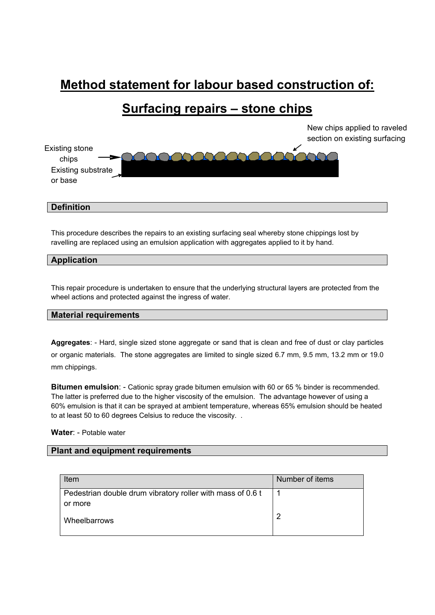# **Method statement for labour based construction of:**

## **Surfacing repairs – stone chips**

New chips applied to raveled section on existing surfacing



#### **Definition**

This procedure describes the repairs to an existing surfacing seal whereby stone chippings lost by ravelling are replaced using an emulsion application with aggregates applied to it by hand.

#### **Application**

This repair procedure is undertaken to ensure that the underlying structural layers are protected from the wheel actions and protected against the ingress of water.

#### **Material requirements**

**Aggregates**: - Hard, single sized stone aggregate or sand that is clean and free of dust or clay particles or organic materials. The stone aggregates are limited to single sized 6.7 mm, 9.5 mm, 13.2 mm or 19.0 mm chippings.

**Bitumen emulsion**: - Cationic spray grade bitumen emulsion with 60 or 65 % binder is recommended. The latter is preferred due to the higher viscosity of the emulsion. The advantage however of using a 60% emulsion is that it can be sprayed at ambient temperature, whereas 65% emulsion should be heated to at least 50 to 60 degrees Celsius to reduce the viscosity. .

#### **Water**: - Potable water

#### **Plant and equipment requirements**

| Item                                                       | Number of items |
|------------------------------------------------------------|-----------------|
| Pedestrian double drum vibratory roller with mass of 0.6 t |                 |
| or more                                                    |                 |
| Wheelbarrows                                               | n               |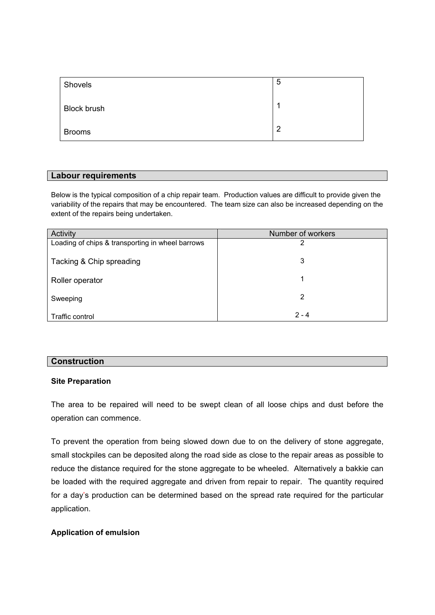| Shovels            | 5 |
|--------------------|---|
| <b>Block brush</b> |   |
| <b>Brooms</b>      | ာ |

#### **Labour requirements**

Below is the typical composition of a chip repair team. Production values are difficult to provide given the variability of the repairs that may be encountered. The team size can also be increased depending on the extent of the repairs being undertaken.

| Activity                                         | Number of workers |
|--------------------------------------------------|-------------------|
| Loading of chips & transporting in wheel barrows | າ                 |
| Tacking & Chip spreading                         | 3                 |
| Roller operator                                  | 1                 |
| Sweeping                                         | 2                 |
| Traffic control                                  | $2 - 4$           |

#### **Construction**

#### **Site Preparation**

The area to be repaired will need to be swept clean of all loose chips and dust before the operation can commence.

To prevent the operation from being slowed down due to on the delivery of stone aggregate, small stockpiles can be deposited along the road side as close to the repair areas as possible to reduce the distance required for the stone aggregate to be wheeled. Alternatively a bakkie can be loaded with the required aggregate and driven from repair to repair. The quantity required for a day's production can be determined based on the spread rate required for the particular application.

#### **Application of emulsion**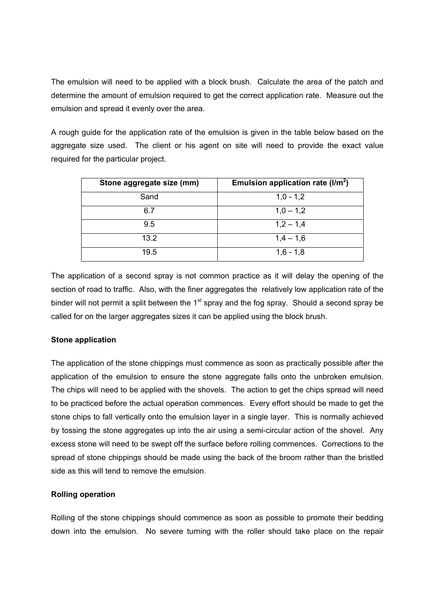The emulsion will need to be applied with a block brush. Calculate the area of the patch and determine the amount of emulsion required to get the correct application rate. Measure out the emulsion and spread it evenly over the area.

A rough guide for the application rate of the emulsion is given in the table below based on the aggregate size used. The client or his agent on site will need to provide the exact value required for the particular project.

| Stone aggregate size (mm) | Emulsion application rate $(l/m^2)$ |
|---------------------------|-------------------------------------|
| Sand                      | $1,0 - 1,2$                         |
| 6.7                       | $1,0 - 1,2$                         |
| 9.5                       | $1,2 - 1,4$                         |
| 13.2                      | $1,4 - 1,6$                         |
| 19.5                      | $1,6 - 1,8$                         |

The application of a second spray is not common practice as it will delay the opening of the section of road to traffic. Also, with the finer aggregates the relatively low application rate of the binder will not permit a split between the  $1<sup>st</sup>$  spray and the fog spray. Should a second spray be called for on the larger aggregates sizes it can be applied using the block brush.

#### **Stone application**

The application of the stone chippings must commence as soon as practically possible after the application of the emulsion to ensure the stone aggregate falls onto the unbroken emulsion. The chips will need to be applied with the shovels. The action to get the chips spread will need to be practiced before the actual operation commences. Every effort should be made to get the stone chips to fall vertically onto the emulsion layer in a single layer. This is normally achieved by tossing the stone aggregates up into the air using a semi-circular action of the shovel. Any excess stone will need to be swept off the surface before rolling commences. Corrections to the spread of stone chippings should be made using the back of the broom rather than the bristled side as this will tend to remove the emulsion.

#### **Rolling operation**

Rolling of the stone chippings should commence as soon as possible to promote their bedding down into the emulsion. No severe turning with the roller should take place on the repair